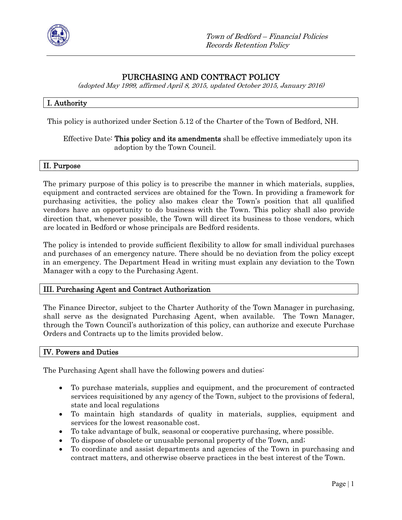

# PURCHASING AND CONTRACT POLICY

(adopted May 1999, affirmed April 8, 2015, updated October 2015, January 2016)

# I. Authority

This policy is authorized under Section 5.12 of the Charter of the Town of Bedford, NH.

### Effective Date: This policy and its amendments shall be effective immediately upon its adoption by the Town Council.

#### II. Purpose

The primary purpose of this policy is to prescribe the manner in which materials, supplies, equipment and contracted services are obtained for the Town. In providing a framework for purchasing activities, the policy also makes clear the Town's position that all qualified vendors have an opportunity to do business with the Town. This policy shall also provide direction that, whenever possible, the Town will direct its business to those vendors, which are located in Bedford or whose principals are Bedford residents.

The policy is intended to provide sufficient flexibility to allow for small individual purchases and purchases of an emergency nature. There should be no deviation from the policy except in an emergency. The Department Head in writing must explain any deviation to the Town Manager with a copy to the Purchasing Agent.

# III. Purchasing Agent and Contract Authorization

The Finance Director, subject to the Charter Authority of the Town Manager in purchasing, shall serve as the designated Purchasing Agent, when available. The Town Manager, through the Town Council's authorization of this policy, can authorize and execute Purchase Orders and Contracts up to the limits provided below.

# IV. Powers and Duties

The Purchasing Agent shall have the following powers and duties:

- To purchase materials, supplies and equipment, and the procurement of contracted services requisitioned by any agency of the Town, subject to the provisions of federal, state and local regulations
- To maintain high standards of quality in materials, supplies, equipment and services for the lowest reasonable cost.
- To take advantage of bulk, seasonal or cooperative purchasing, where possible.
- To dispose of obsolete or unusable personal property of the Town, and;
- To coordinate and assist departments and agencies of the Town in purchasing and contract matters, and otherwise observe practices in the best interest of the Town.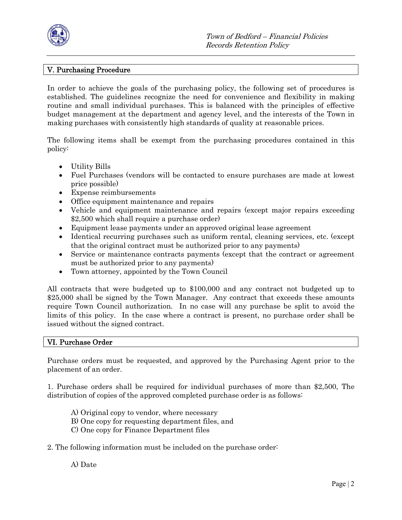

# V. Purchasing Procedure

In order to achieve the goals of the purchasing policy, the following set of procedures is established. The guidelines recognize the need for convenience and flexibility in making routine and small individual purchases. This is balanced with the principles of effective budget management at the department and agency level, and the interests of the Town in making purchases with consistently high standards of quality at reasonable prices.

The following items shall be exempt from the purchasing procedures contained in this policy:

- Utility Bills
- Fuel Purchases (vendors will be contacted to ensure purchases are made at lowest price possible)
- Expense reimbursements
- Office equipment maintenance and repairs
- Vehicle and equipment maintenance and repairs (except major repairs exceeding \$2,500 which shall require a purchase order)
- Equipment lease payments under an approved original lease agreement
- Identical recurring purchases such as uniform rental, cleaning services, etc. (except that the original contract must be authorized prior to any payments)
- Service or maintenance contracts payments (except that the contract or agreement must be authorized prior to any payments)
- Town attorney, appointed by the Town Council

All contracts that were budgeted up to \$100,000 and any contract not budgeted up to \$25,000 shall be signed by the Town Manager. Any contract that exceeds these amounts require Town Council authorization. In no case will any purchase be split to avoid the limits of this policy. In the case where a contract is present, no purchase order shall be issued without the signed contract.

#### VI. Purchase Order

Purchase orders must be requested, and approved by the Purchasing Agent prior to the placement of an order.

1. Purchase orders shall be required for individual purchases of more than \$2,500, The distribution of copies of the approved completed purchase order is as follows:

- A) Original copy to vendor, where necessary
- B) One copy for requesting department files, and
- C) One copy for Finance Department files
- 2. The following information must be included on the purchase order:

A) Date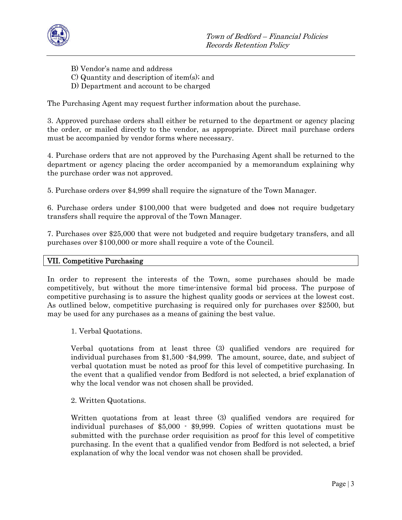

- B) Vendor's name and address
- C) Quantity and description of item(s); and
- D) Department and account to be charged

The Purchasing Agent may request further information about the purchase.

3. Approved purchase orders shall either be returned to the department or agency placing the order, or mailed directly to the vendor, as appropriate. Direct mail purchase orders must be accompanied by vendor forms where necessary.

4. Purchase orders that are not approved by the Purchasing Agent shall be returned to the department or agency placing the order accompanied by a memorandum explaining why the purchase order was not approved.

5. Purchase orders over \$4,999 shall require the signature of the Town Manager.

6. Purchase orders under \$100,000 that were budgeted and does not require budgetary transfers shall require the approval of the Town Manager.

7. Purchases over \$25,000 that were not budgeted and require budgetary transfers, and all purchases over \$100,000 or more shall require a vote of the Council.

#### VII. Competitive Purchasing

In order to represent the interests of the Town, some purchases should be made competitively, but without the more time-intensive formal bid process. The purpose of competitive purchasing is to assure the highest quality goods or services at the lowest cost. As outlined below, competitive purchasing is required only for purchases over \$2500, but may be used for any purchases as a means of gaining the best value.

1. Verbal Quotations.

Verbal quotations from at least three (3) qualified vendors are required for individual purchases from \$1,500 -\$4,999. The amount, source, date, and subject of verbal quotation must be noted as proof for this level of competitive purchasing. In the event that a qualified vendor from Bedford is not selected, a brief explanation of why the local vendor was not chosen shall be provided.

2. Written Quotations.

Written quotations from at least three (3) qualified vendors are required for individual purchases of \$5,000 - \$9,999. Copies of written quotations must be submitted with the purchase order requisition as proof for this level of competitive purchasing. In the event that a qualified vendor from Bedford is not selected, a brief explanation of why the local vendor was not chosen shall be provided.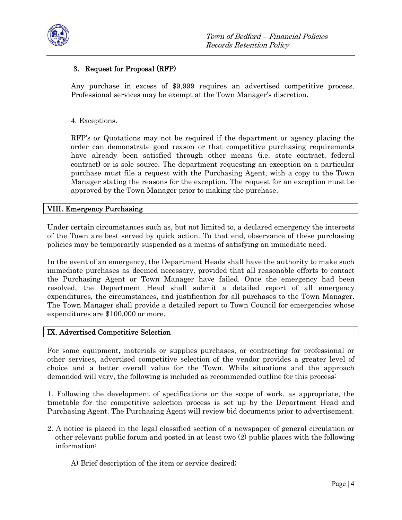

# 3. Request for Proposal (RFP)

Any purchase in excess of \$9,999 requires an advertised competitive process. Professional services may be exempt at the Town Manager's discretion.

# 4. Exceptions.

RFP's or Quotations may not be required if the department or agency placing the order can demonstrate good reason or that competitive purchasing requirements have already been satisfied through other means (i.e. state contract, federal contract) or is sole source. The department requesting an exception on a particular purchase must file a request with the Purchasing Agent, with a copy to the Town Manager stating the reasons for the exception. The request for an exception must be approved by the Town Manager prior to making the purchase.

# VIII. Emergency Purchasing

Under certain circumstances such as, but not limited to, a declared emergency the interests of the Town are best served by quick action. To that end, observance of these purchasing policies may be temporarily suspended as a means of satisfying an immediate need.

In the event of an emergency, the Department Heads shall have the authority to make such immediate purchases as deemed necessary, provided that all reasonable efforts to contact the Purchasing Agent or Town Manager have failed. Once the emergency had been resolved, the Department Head shall submit a detailed report of all emergency expenditures, the circumstances, and justification for all purchases to the Town Manager. The Town Manager shall provide a detailed report to Town Council for emergencies whose expenditures are \$100,000 or more.

# IX. Advertised Competitive Selection

For some equipment, materials or supplies purchases, or contracting for professional or other services, advertised competitive selection of the vendor provides a greater level of choice and a better overall value for the Town. While situations and the approach demanded will vary, the following is included as recommended outline for this process:

1. Following the development of specifications or the scope of work, as appropriate, the timetable for the competitive selection process is set up by the Department Head and Purchasing Agent. The Purchasing Agent will review bid documents prior to advertisement.

- 2. A notice is placed in the legal classified section of a newspaper of general circulation or other relevant public forum and posted in at least two (2) public places with the following information:
	- A) Brief description of the item or service desired;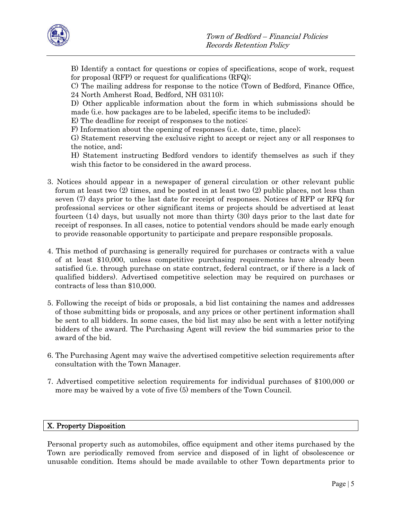

B) Identify a contact for questions or copies of specifications, scope of work, request for proposal (RFP) or request for qualifications (RFQ);

C) The mailing address for response to the notice (Town of Bedford, Finance Office, 24 North Amherst Road, Bedford, NH 03110);

D) Other applicable information about the form in which submissions should be made (i.e. how packages are to be labeled, specific items to be included);

E) The deadline for receipt of responses to the notice;

F) Information about the opening of responses (i.e. date, time, place);

G) Statement reserving the exclusive right to accept or reject any or all responses to the notice, and;

H) Statement instructing Bedford vendors to identify themselves as such if they wish this factor to be considered in the award process.

- 3. Notices should appear in a newspaper of general circulation or other relevant public forum at least two (2) times, and be posted in at least two (2) public places, not less than seven (7) days prior to the last date for receipt of responses. Notices of RFP or RFQ for professional services or other significant items or projects should be advertised at least fourteen (14) days, but usually not more than thirty (30) days prior to the last date for receipt of responses. In all cases, notice to potential vendors should be made early enough to provide reasonable opportunity to participate and prepare responsible proposals.
- 4. This method of purchasing is generally required for purchases or contracts with a value of at least \$10,000, unless competitive purchasing requirements have already been satisfied (i.e. through purchase on state contract, federal contract, or if there is a lack of qualified bidders). Advertised competitive selection may be required on purchases or contracts of less than \$10,000.
- 5. Following the receipt of bids or proposals, a bid list containing the names and addresses of those submitting bids or proposals, and any prices or other pertinent information shall be sent to all bidders. In some cases, the bid list may also be sent with a letter notifying bidders of the award. The Purchasing Agent will review the bid summaries prior to the award of the bid.
- 6. The Purchasing Agent may waive the advertised competitive selection requirements after consultation with the Town Manager.
- 7. Advertised competitive selection requirements for individual purchases of \$100,000 or more may be waived by a vote of five (5) members of the Town Council.

# X. Property Disposition

Personal property such as automobiles, office equipment and other items purchased by the Town are periodically removed from service and disposed of in light of obsolescence or unusable condition. Items should be made available to other Town departments prior to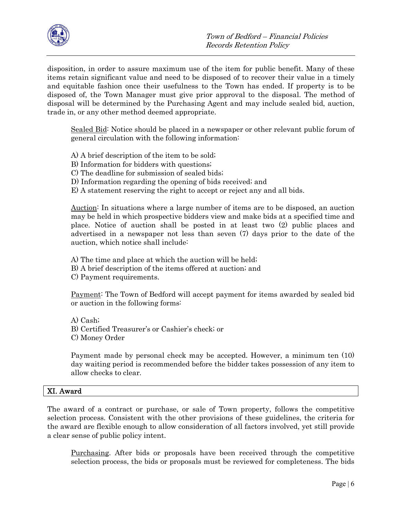

disposition, in order to assure maximum use of the item for public benefit. Many of these items retain significant value and need to be disposed of to recover their value in a timely and equitable fashion once their usefulness to the Town has ended. If property is to be disposed of, the Town Manager must give prior approval to the disposal. The method of disposal will be determined by the Purchasing Agent and may include sealed bid, auction, trade in, or any other method deemed appropriate.

Sealed Bid: Notice should be placed in a newspaper or other relevant public forum of general circulation with the following information:

A) A brief description of the item to be sold;

B) Information for bidders with questions;

C) The deadline for submission of sealed bids;

D) Information regarding the opening of bids received; and

E) A statement reserving the right to accept or reject any and all bids.

Auction: In situations where a large number of items are to be disposed, an auction may be held in which prospective bidders view and make bids at a specified time and place. Notice of auction shall be posted in at least two (2) public places and advertised in a newspaper not less than seven (7) days prior to the date of the auction, which notice shall include:

A) The time and place at which the auction will be held;

B) A brief description of the items offered at auction; and

C) Payment requirements.

Payment: The Town of Bedford will accept payment for items awarded by sealed bid or auction in the following forms:

A) Cash; B) Certified Treasurer's or Cashier's check; or C) Money Order

Payment made by personal check may be accepted. However, a minimum ten (10) day waiting period is recommended before the bidder takes possession of any item to allow checks to clear.

# XI. Award

The award of a contract or purchase, or sale of Town property, follows the competitive selection process. Consistent with the other provisions of these guidelines, the criteria for the award are flexible enough to allow consideration of all factors involved, yet still provide a clear sense of public policy intent.

Purchasing. After bids or proposals have been received through the competitive selection process, the bids or proposals must be reviewed for completeness. The bids